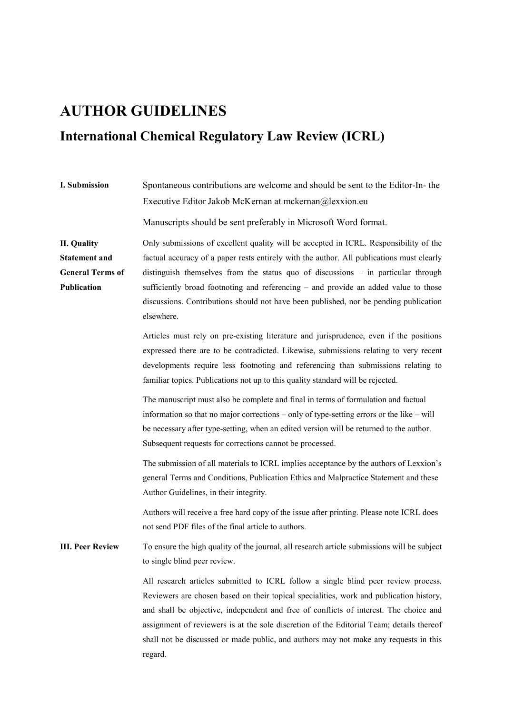# **AUTHOR GUIDELINES**

# **International Chemical Regulatory Law Review (ICRL)**

| I. Submission                                                                        | Spontaneous contributions are welcome and should be sent to the Editor-In-the<br>Executive Editor Jakob McKernan at mckernan@lexxion.eu                                                                                                                                                                                                                                                                                                                                 |
|--------------------------------------------------------------------------------------|-------------------------------------------------------------------------------------------------------------------------------------------------------------------------------------------------------------------------------------------------------------------------------------------------------------------------------------------------------------------------------------------------------------------------------------------------------------------------|
|                                                                                      | Manuscripts should be sent preferably in Microsoft Word format.                                                                                                                                                                                                                                                                                                                                                                                                         |
| <b>II.</b> Quality<br><b>Statement and</b><br><b>General Terms of</b><br>Publication | Only submissions of excellent quality will be accepted in ICRL. Responsibility of the<br>factual accuracy of a paper rests entirely with the author. All publications must clearly<br>distinguish themselves from the status quo of discussions $-$ in particular through<br>sufficiently broad footnoting and referencing - and provide an added value to those<br>discussions. Contributions should not have been published, nor be pending publication<br>elsewhere. |
|                                                                                      | Articles must rely on pre-existing literature and jurisprudence, even if the positions<br>expressed there are to be contradicted. Likewise, submissions relating to very recent<br>developments require less footnoting and referencing than submissions relating to<br>familiar topics. Publications not up to this quality standard will be rejected.                                                                                                                 |
|                                                                                      | The manuscript must also be complete and final in terms of formulation and factual<br>information so that no major corrections – only of type-setting errors or the like – will<br>be necessary after type-setting, when an edited version will be returned to the author.<br>Subsequent requests for corrections cannot be processed.                                                                                                                                  |
|                                                                                      | The submission of all materials to ICRL implies acceptance by the authors of Lexxion's<br>general Terms and Conditions, Publication Ethics and Malpractice Statement and these<br>Author Guidelines, in their integrity.                                                                                                                                                                                                                                                |
|                                                                                      | Authors will receive a free hard copy of the issue after printing. Please note ICRL does<br>not send PDF files of the final article to authors.                                                                                                                                                                                                                                                                                                                         |
| <b>III. Peer Review</b>                                                              | To ensure the high quality of the journal, all research article submissions will be subject<br>to single blind peer review.                                                                                                                                                                                                                                                                                                                                             |
|                                                                                      | All research articles submitted to ICRL follow a single blind peer review process.<br>Reviewers are chosen based on their topical specialities, work and publication history,<br>and shall be objective, independent and free of conflicts of interest. The choice and<br>assignment of reviewers is at the sole discretion of the Editorial Team; details thereof<br>shall not be discussed or made public, and authors may not make any requests in this<br>regard.   |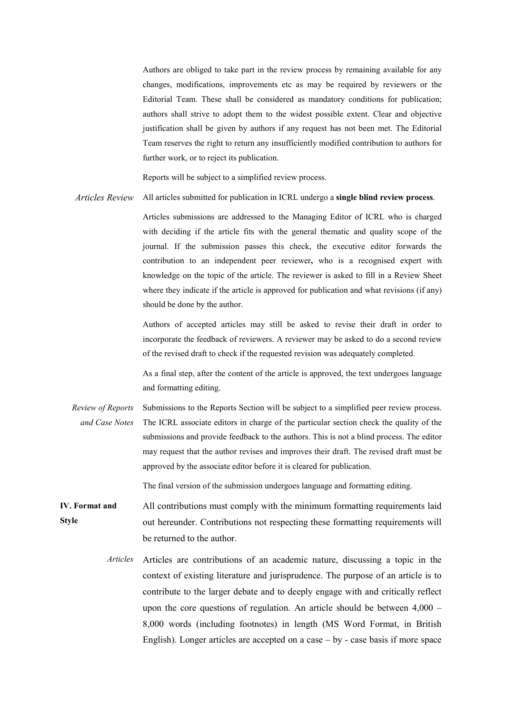Authors are obliged to take part in the review process by remaining available for any changes, modifications, improvements etc as may be required by reviewers or the Editorial Team. These shall be considered as mandatory conditions for publication; authors shall strive to adopt them to the widest possible extent. Clear and objective justification shall be given by authors if any request has not been met. The Editorial Team reserves the right to return any insufficiently modified contribution to authors for further work, or to reject its publication.

Reports will be subject to a simplified review process.

*Articles Review* All articles submitted for publication in ICRL undergo a **single blind review process**.

Articles submissions are addressed to the Managing Editor of ICRL who is charged with deciding if the article fits with the general thematic and quality scope of the journal. If the submission passes this check, the executive editor forwards the contribution to an independent peer reviewer**,** who is a recognised expert with knowledge on the topic of the article. The reviewer is asked to fill in a Review Sheet where they indicate if the article is approved for publication and what revisions (if any) should be done by the author.

Authors of accepted articles may still be asked to revise their draft in order to incorporate the feedback of reviewers. A reviewer may be asked to do a second review of the revised draft to check if the requested revision was adequately completed.

As a final step, after the content of the article is approved, the text undergoes language and formatting editing.

*Review of Reports and Case Notes*  Submissions to the Reports Section will be subject to a simplified peer review process. The ICRL associate editors in charge of the particular section check the quality of the submissions and provide feedback to the authors. This is not a blind process. The editor may request that the author revises and improves their draft. The revised draft must be approved by the associate editor before it is cleared for publication.

The final version of the submission undergoes language and formatting editing.

**IV. Format and Style** All contributions must comply with the minimum formatting requirements laid out hereunder. Contributions not respecting these formatting requirements will be returned to the author.

> *Articles* Articles are contributions of an academic nature, discussing a topic in the context of existing literature and jurisprudence. The purpose of an article is to contribute to the larger debate and to deeply engage with and critically reflect upon the core questions of regulation. An article should be between 4,000 – 8,000 words (including footnotes) in length (MS Word Format, in British English). Longer articles are accepted on a case – by - case basis if more space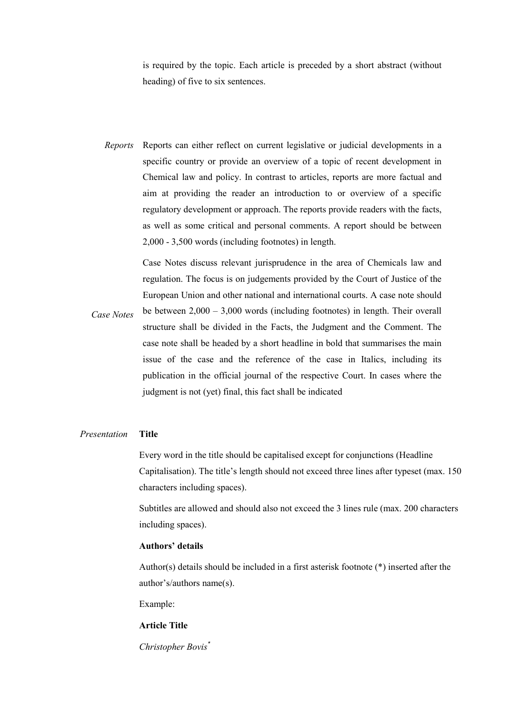is required by the topic. Each article is preceded by a short abstract (without heading) of five to six sentences.

*Reports* Reports can either reflect on current legislative or judicial developments in a specific country or provide an overview of a topic of recent development in Chemical law and policy. In contrast to articles, reports are more factual and aim at providing the reader an introduction to or overview of a specific regulatory development or approach. The reports provide readers with the facts, as well as some critical and personal comments. A report should be between 2,000 - 3,500 words (including footnotes) in length.

> Case Notes discuss relevant jurisprudence in the area of Chemicals law and regulation. The focus is on judgements provided by the Court of Justice of the European Union and other national and international courts. A case note should

*Case Notes*  be between 2,000 – 3,000 words (including footnotes) in length. Their overall structure shall be divided in the Facts, the Judgment and the Comment. The case note shall be headed by a short headline in bold that summarises the main issue of the case and the reference of the case in Italics, including its publication in the official journal of the respective Court. In cases where the judgment is not (yet) final, this fact shall be indicated

## *Presentation* **Title**

Every word in the title should be capitalised except for conjunctions (Headline Capitalisation). The title's length should not exceed three lines after typeset (max. 150 characters including spaces).

Subtitles are allowed and should also not exceed the 3 lines rule (max. 200 characters including spaces).

### **Authors' details**

Author(s) details should be included in a first asterisk footnote (\*) inserted after the author's/authors name(s).

Example:

#### **Article Title**

*Christopher Bovis\**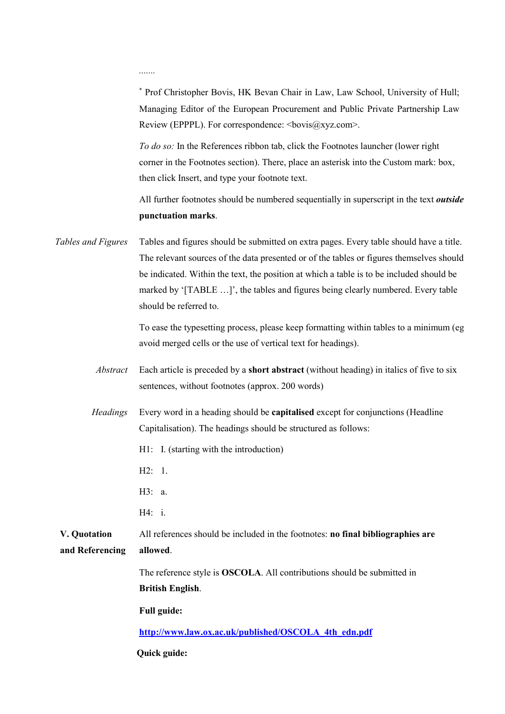*.......*

<sup>∗</sup> Prof Christopher Bovis, HK Bevan Chair in Law, Law School, University of Hull; Managing Editor of the European Procurement and Public Private Partnership Law Review (EPPPL). For correspondence:  $\langle \text{bovis}(\partial \text{xyz.com}\rangle)$ .

*To do so:* In the References ribbon tab, click the Footnotes launcher (lower right corner in the Footnotes section). There, place an asterisk into the Custom mark: box, then click Insert, and type your footnote text.

All further footnotes should be numbered sequentially in superscript in the text *outside* **punctuation marks**.

*Tables and Figures* Tables and figures should be submitted on extra pages. Every table should have a title. The relevant sources of the data presented or of the tables or figures themselves should be indicated. Within the text, the position at which a table is to be included should be marked by '[TABLE …]', the tables and figures being clearly numbered. Every table should be referred to.

> To ease the typesetting process, please keep formatting within tables to a minimum (eg avoid merged cells or the use of vertical text for headings).

- *Abstract* Each article is preceded by a **short abstract** (without heading) in italics of five to six sentences, without footnotes (approx. 200 words)
- *Headings* Every word in a heading should be **capitalised** except for conjunctions (Headline Capitalisation). The headings should be structured as follows:
	- H1: I. (starting with the introduction)
	- H2: 1.
	- H3: a.
	- H4: i.
- **V. Quotation and Referencing** All references should be included in the footnotes: **no final bibliographies are allowed**.

The reference style is **OSCOLA**. All contributions should be submitted in **British English**.

**Full guide:** 

**[http://www.law.ox.ac.uk/published/OSCOLA\\_4th\\_edn.pdf](http://www.law.ox.ac.uk/published/OSCOLA_4th_edn.pdf)**

**Quick guide:**